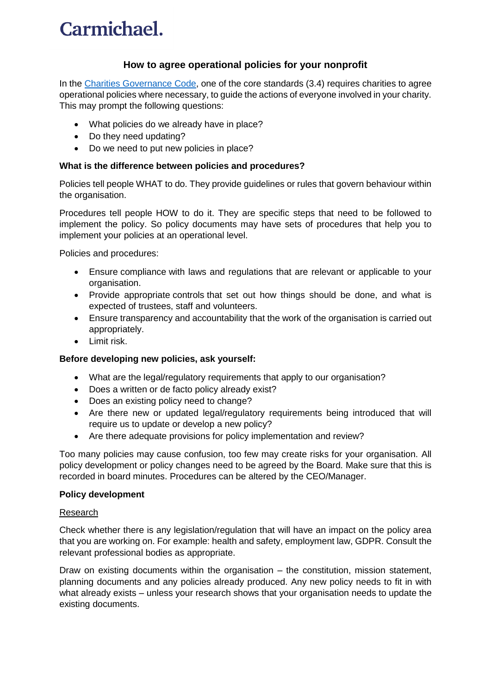## Carmichael.

## **How to agree operational policies for your nonprofit**

In the [Charities Governance](https://www.charitiesregulator.ie/en/information-for-charities/charities-governance-code) Code, one of the core standards (3.4) requires charities to agree operational policies where necessary, to guide the actions of everyone involved in your charity. This may prompt the following questions:

- What policies do we already have in place?
- Do they need updating?
- Do we need to put new policies in place?

## **What is the difference between policies and procedures?**

Policies tell people WHAT to do. They provide guidelines or rules that govern behaviour within the organisation.

Procedures tell people HOW to do it. They are specific steps that need to be followed to implement the policy. So policy documents may have sets of procedures that help you to implement your policies at an operational level.

Policies and procedures:

- Ensure compliance with laws and regulations that are relevant or applicable to your organisation.
- Provide appropriate controls that set out how things should be done, and what is expected of trustees, staff and volunteers.
- Ensure transparency and accountability that the work of the organisation is carried out appropriately.
- Limit risk.

### **Before developing new policies, ask yourself:**

- What are the legal/regulatory requirements that apply to our organisation?
- Does a written or de facto policy already exist?
- Does an existing policy need to change?
- Are there new or updated legal/regulatory requirements being introduced that will require us to update or develop a new policy?
- Are there adequate provisions for policy implementation and review?

Too many policies may cause confusion, too few may create risks for your organisation. All policy development or policy changes need to be agreed by the Board. Make sure that this is recorded in board minutes. Procedures can be altered by the CEO/Manager.

#### **Policy development**

#### Research

Check whether there is any legislation/regulation that will have an impact on the policy area that you are working on. For example: health and safety, employment law, GDPR. Consult the relevant professional bodies as appropriate.

Draw on existing documents within the organisation – the constitution, mission statement, planning documents and any policies already produced. Any new policy needs to fit in with what already exists – unless your research shows that your organisation needs to update the existing documents.